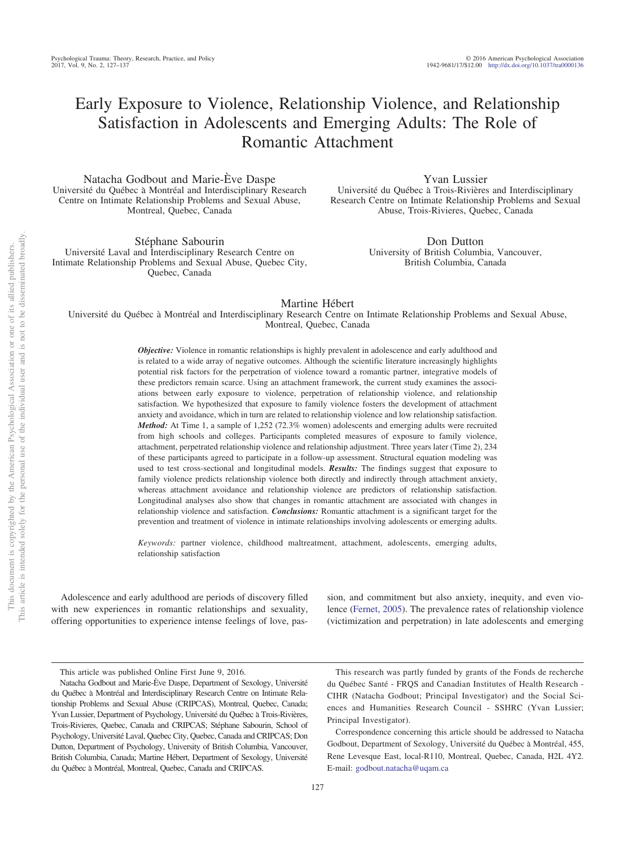# Early Exposure to Violence, Relationship Violence, and Relationship Satisfaction in Adolescents and Emerging Adults: The Role of Romantic Attachment

Natacha Godbout and Marie-Ève Daspe Université du Québec à Montréal and Interdisciplinary Research Centre on Intimate Relationship Problems and Sexual Abuse, Montreal, Quebec, Canada

Stéphane Sabourin Université Laval and Interdisciplinary Research Centre on Intimate Relationship Problems and Sexual Abuse, Quebec City, Quebec, Canada

Yvan Lussier Université du Québec à Trois-Rivières and Interdisciplinary Research Centre on Intimate Relationship Problems and Sexual Abuse, Trois-Rivieres, Quebec, Canada

> Don Dutton University of British Columbia, Vancouver, British Columbia, Canada

Martine Hébert

Université du Québec a` Montréal and Interdisciplinary Research Centre on Intimate Relationship Problems and Sexual Abuse, Montreal, Quebec, Canada

> *Objective:* Violence in romantic relationships is highly prevalent in adolescence and early adulthood and is related to a wide array of negative outcomes. Although the scientific literature increasingly highlights potential risk factors for the perpetration of violence toward a romantic partner, integrative models of these predictors remain scarce. Using an attachment framework, the current study examines the associations between early exposure to violence, perpetration of relationship violence, and relationship satisfaction. We hypothesized that exposure to family violence fosters the development of attachment anxiety and avoidance, which in turn are related to relationship violence and low relationship satisfaction. *Method:* At Time 1, a sample of 1,252 (72.3% women) adolescents and emerging adults were recruited from high schools and colleges. Participants completed measures of exposure to family violence, attachment, perpetrated relationship violence and relationship adjustment. Three years later (Time 2), 234 of these participants agreed to participate in a follow-up assessment. Structural equation modeling was used to test cross-sectional and longitudinal models. *Results:* The findings suggest that exposure to family violence predicts relationship violence both directly and indirectly through attachment anxiety, whereas attachment avoidance and relationship violence are predictors of relationship satisfaction. Longitudinal analyses also show that changes in romantic attachment are associated with changes in relationship violence and satisfaction. *Conclusions:* Romantic attachment is a significant target for the prevention and treatment of violence in intimate relationships involving adolescents or emerging adults.

> *Keywords:* partner violence, childhood maltreatment, attachment, adolescents, emerging adults, relationship satisfaction

Adolescence and early adulthood are periods of discovery filled with new experiences in romantic relationships and sexuality, offering opportunities to experience intense feelings of love, passion, and commitment but also anxiety, inequity, and even violence [\(Fernet, 2005\)](#page-9-0). The prevalence rates of relationship violence (victimization and perpetration) in late adolescents and emerging

This article was published Online First June 9, 2016.

This research was partly funded by grants of the Fonds de recherche du Québec Santé - FRQS and Canadian Institutes of Health Research - CIHR (Natacha Godbout; Principal Investigator) and the Social Sciences and Humanities Research Council - SSHRC (Yvan Lussier; Principal Investigator).

Correspondence concerning this article should be addressed to Natacha Godbout, Department of Sexology, Université du Québec a` Montréal, 455, Rene Levesque East, local-R110, Montreal, Quebec, Canada, H2L 4Y2. E-mail: [godbout.natacha@uqam.ca](mailto:godbout.natacha@uqam.ca)

Natacha Godbout and Marie-Ève Daspe, Department of Sexology, Université du Québec a` Montréal and Interdisciplinary Research Centre on Intimate Relationship Problems and Sexual Abuse (CRIPCAS), Montreal, Quebec, Canada; Yvan Lussier, Department of Psychology, Université du Québec a` Trois-Rivières, Trois-Rivieres, Quebec, Canada and CRIPCAS; Stéphane Sabourin, School of Psychology, Université Laval, Quebec City, Quebec, Canada and CRIPCAS; Don Dutton, Department of Psychology, University of British Columbia, Vancouver, British Columbia, Canada; Martine Hébert, Department of Sexology, Université du Québec a` Montréal, Montreal, Quebec, Canada and CRIPCAS.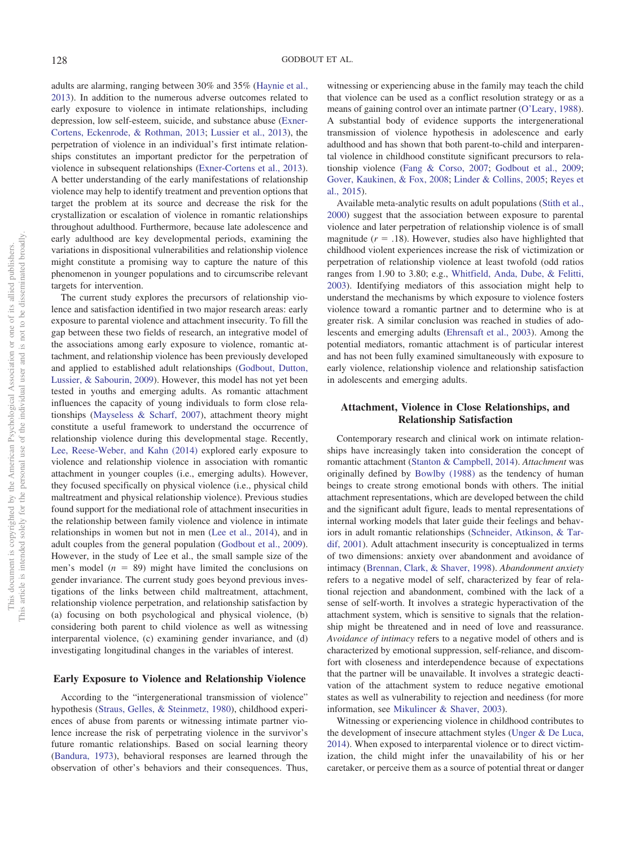adults are alarming, ranging between 30% and 35% [\(Haynie et al.,](#page-9-1) [2013\)](#page-9-1). In addition to the numerous adverse outcomes related to early exposure to violence in intimate relationships, including depression, low self-esteem, suicide, and substance abuse [\(Exner-](#page-9-2)[Cortens, Eckenrode, & Rothman, 2013;](#page-9-2) [Lussier et al., 2013\)](#page-9-3), the perpetration of violence in an individual's first intimate relationships constitutes an important predictor for the perpetration of violence in subsequent relationships [\(Exner-Cortens et al., 2013\)](#page-9-2). A better understanding of the early manifestations of relationship violence may help to identify treatment and prevention options that target the problem at its source and decrease the risk for the crystallization or escalation of violence in romantic relationships throughout adulthood. Furthermore, because late adolescence and early adulthood are key developmental periods, examining the variations in dispositional vulnerabilities and relationship violence might constitute a promising way to capture the nature of this phenomenon in younger populations and to circumscribe relevant targets for intervention.

The current study explores the precursors of relationship violence and satisfaction identified in two major research areas: early exposure to parental violence and attachment insecurity. To fill the gap between these two fields of research, an integrative model of the associations among early exposure to violence, romantic attachment, and relationship violence has been previously developed and applied to established adult relationships [\(Godbout, Dutton,](#page-9-4) [Lussier, & Sabourin, 2009\)](#page-9-4). However, this model has not yet been tested in youths and emerging adults. As romantic attachment influences the capacity of young individuals to form close relationships [\(Mayseless & Scharf, 2007\)](#page-9-5), attachment theory might constitute a useful framework to understand the occurrence of relationship violence during this developmental stage. Recently, [Lee, Reese-Weber, and Kahn \(2014\)](#page-9-6) explored early exposure to violence and relationship violence in association with romantic attachment in younger couples (i.e., emerging adults). However, they focused specifically on physical violence (i.e., physical child maltreatment and physical relationship violence). Previous studies found support for the mediational role of attachment insecurities in the relationship between family violence and violence in intimate relationships in women but not in men [\(Lee et al., 2014\)](#page-9-6), and in adult couples from the general population [\(Godbout et al., 2009\)](#page-9-4). However, in the study of Lee et al., the small sample size of the men's model  $(n = 89)$  might have limited the conclusions on gender invariance. The current study goes beyond previous investigations of the links between child maltreatment, attachment, relationship violence perpetration, and relationship satisfaction by (a) focusing on both psychological and physical violence, (b) considering both parent to child violence as well as witnessing interparental violence, (c) examining gender invariance, and (d) investigating longitudinal changes in the variables of interest.

#### **Early Exposure to Violence and Relationship Violence**

According to the "intergenerational transmission of violence" hypothesis [\(Straus, Gelles, & Steinmetz, 1980\)](#page-10-0), childhood experiences of abuse from parents or witnessing intimate partner violence increase the risk of perpetrating violence in the survivor's future romantic relationships. Based on social learning theory [\(Bandura, 1973\)](#page-8-0), behavioral responses are learned through the observation of other's behaviors and their consequences. Thus,

witnessing or experiencing abuse in the family may teach the child that violence can be used as a conflict resolution strategy or as a means of gaining control over an intimate partner [\(O'Leary, 1988\)](#page-10-1). A substantial body of evidence supports the intergenerational transmission of violence hypothesis in adolescence and early adulthood and has shown that both parent-to-child and interparental violence in childhood constitute significant precursors to relationship violence [\(Fang & Corso, 2007;](#page-9-7) [Godbout et al., 2009;](#page-9-4) [Gover, Kaukinen, & Fox, 2008;](#page-9-8) [Linder & Collins, 2005;](#page-9-9) [Reyes et](#page-10-2) [al., 2015\)](#page-10-2).

Available meta-analytic results on adult populations [\(Stith et al.,](#page-10-3) [2000\)](#page-10-3) suggest that the association between exposure to parental violence and later perpetration of relationship violence is of small magnitude  $(r = .18)$ . However, studies also have highlighted that childhood violent experiences increase the risk of victimization or perpetration of relationship violence at least twofold (odd ratios ranges from 1.90 to 3.80; e.g., [Whitfield, Anda, Dube, & Felitti,](#page-10-4) [2003\)](#page-10-4). Identifying mediators of this association might help to understand the mechanisms by which exposure to violence fosters violence toward a romantic partner and to determine who is at greater risk. A similar conclusion was reached in studies of adolescents and emerging adults [\(Ehrensaft et al., 2003\)](#page-9-10). Among the potential mediators, romantic attachment is of particular interest and has not been fully examined simultaneously with exposure to early violence, relationship violence and relationship satisfaction in adolescents and emerging adults.

# **Attachment, Violence in Close Relationships, and Relationship Satisfaction**

Contemporary research and clinical work on intimate relationships have increasingly taken into consideration the concept of romantic attachment [\(Stanton & Campbell, 2014\)](#page-10-5). *Attachment* was originally defined by [Bowlby \(1988\)](#page-8-1) as the tendency of human beings to create strong emotional bonds with others. The initial attachment representations, which are developed between the child and the significant adult figure, leads to mental representations of internal working models that later guide their feelings and behaviors in adult romantic relationships [\(Schneider, Atkinson, & Tar](#page-10-6)[dif, 2001\)](#page-10-6). Adult attachment insecurity is conceptualized in terms of two dimensions: anxiety over abandonment and avoidance of intimacy [\(Brennan, Clark, & Shaver, 1998\)](#page-8-2). *Abandonment anxiety* refers to a negative model of self, characterized by fear of relational rejection and abandonment, combined with the lack of a sense of self-worth. It involves a strategic hyperactivation of the attachment system, which is sensitive to signals that the relationship might be threatened and in need of love and reassurance. *Avoidance of intimacy* refers to a negative model of others and is characterized by emotional suppression, self-reliance, and discomfort with closeness and interdependence because of expectations that the partner will be unavailable. It involves a strategic deactivation of the attachment system to reduce negative emotional states as well as vulnerability to rejection and neediness (for more information, see [Mikulincer & Shaver, 2003\)](#page-9-11).

Witnessing or experiencing violence in childhood contributes to the development of insecure attachment styles [\(Unger & De Luca,](#page-10-7) [2014\)](#page-10-7). When exposed to interparental violence or to direct victimization, the child might infer the unavailability of his or her caretaker, or perceive them as a source of potential threat or danger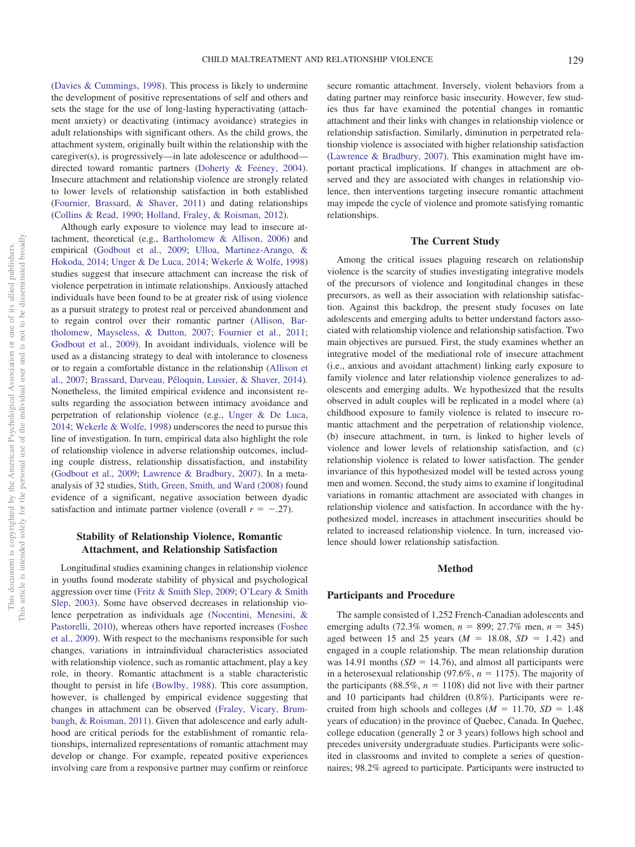[\(Davies & Cummings, 1998\)](#page-9-12). This process is likely to undermine the development of positive representations of self and others and sets the stage for the use of long-lasting hyperactivating (attachment anxiety) or deactivating (intimacy avoidance) strategies in adult relationships with significant others. As the child grows, the attachment system, originally built within the relationship with the caregiver(s), is progressively—in late adolescence or adulthood directed toward romantic partners [\(Doherty & Feeney, 2004\)](#page-9-13). Insecure attachment and relationship violence are strongly related to lower levels of relationship satisfaction in both established [\(Fournier, Brassard, & Shaver, 2011\)](#page-9-14) and dating relationships [\(Collins & Read, 1990;](#page-8-3) [Holland, Fraley, & Roisman, 2012\)](#page-9-15).

Although early exposure to violence may lead to insecure attachment, theoretical (e.g., [Bartholomew & Allison, 2006\)](#page-8-4) and empirical [\(Godbout et al., 2009;](#page-9-4) [Ulloa, Martinez-Arango, &](#page-10-8) [Hokoda, 2014;](#page-10-8) [Unger & De Luca, 2014;](#page-10-7) [Wekerle & Wolfe, 1998\)](#page-10-9) studies suggest that insecure attachment can increase the risk of violence perpetration in intimate relationships. Anxiously attached individuals have been found to be at greater risk of using violence as a pursuit strategy to protest real or perceived abandonment and to regain control over their romantic partner [\(Allison, Bar](#page-8-5)[tholomew, Mayseless, & Dutton, 2007;](#page-8-5) [Fournier et al., 2011;](#page-9-14) [Godbout et al., 2009\)](#page-9-4). In avoidant individuals, violence will be used as a distancing strategy to deal with intolerance to closeness or to regain a comfortable distance in the relationship [\(Allison et](#page-8-5) [al., 2007;](#page-8-5) [Brassard, Darveau, Péloquin, Lussier, & Shaver, 2014\)](#page-8-6). Nonetheless, the limited empirical evidence and inconsistent results regarding the association between intimacy avoidance and perpetration of relationship violence (e.g., [Unger & De Luca,](#page-10-7) [2014;](#page-10-7) [Wekerle & Wolfe, 1998\)](#page-10-9) underscores the need to pursue this line of investigation. In turn, empirical data also highlight the role of relationship violence in adverse relationship outcomes, including couple distress, relationship dissatisfaction, and instability [\(Godbout et al., 2009;](#page-9-4) [Lawrence & Bradbury, 2007\)](#page-9-16). In a metaanalysis of 32 studies, [Stith, Green, Smith, and Ward \(2008\)](#page-10-10) found evidence of a significant, negative association between dyadic satisfaction and intimate partner violence (overall  $r = -.27$ ).

# **Stability of Relationship Violence, Romantic Attachment, and Relationship Satisfaction**

Longitudinal studies examining changes in relationship violence in youths found moderate stability of physical and psychological aggression over time [\(Fritz & Smith Slep, 2009;](#page-9-17) [O'Leary & Smith](#page-10-11) [Slep, 2003\)](#page-10-11). Some have observed decreases in relationship violence perpetration as individuals age [\(Nocentini, Menesini, &](#page-10-12) [Pastorelli, 2010\)](#page-10-12), whereas others have reported increases [\(Foshee](#page-9-18) [et al., 2009\)](#page-9-18). With respect to the mechanisms responsible for such changes, variations in intraindividual characteristics associated with relationship violence, such as romantic attachment, play a key role, in theory. Romantic attachment is a stable characteristic thought to persist in life [\(Bowlby, 1988\)](#page-8-1). This core assumption, however, is challenged by empirical evidence suggesting that changes in attachment can be observed [\(Fraley, Vicary, Brum](#page-9-19)[baugh, & Roisman, 2011\)](#page-9-19). Given that adolescence and early adulthood are critical periods for the establishment of romantic relationships, internalized representations of romantic attachment may develop or change. For example, repeated positive experiences involving care from a responsive partner may confirm or reinforce

secure romantic attachment. Inversely, violent behaviors from a dating partner may reinforce basic insecurity. However, few studies thus far have examined the potential changes in romantic attachment and their links with changes in relationship violence or relationship satisfaction. Similarly, diminution in perpetrated relationship violence is associated with higher relationship satisfaction [\(Lawrence & Bradbury, 2007\)](#page-9-16). This examination might have important practical implications. If changes in attachment are observed and they are associated with changes in relationship violence, then interventions targeting insecure romantic attachment may impede the cycle of violence and promote satisfying romantic relationships.

# **The Current Study**

Among the critical issues plaguing research on relationship violence is the scarcity of studies investigating integrative models of the precursors of violence and longitudinal changes in these precursors, as well as their association with relationship satisfaction. Against this backdrop, the present study focuses on late adolescents and emerging adults to better understand factors associated with relationship violence and relationship satisfaction. Two main objectives are pursued. First, the study examines whether an integrative model of the mediational role of insecure attachment (i.e., anxious and avoidant attachment) linking early exposure to family violence and later relationship violence generalizes to adolescents and emerging adults. We hypothesized that the results observed in adult couples will be replicated in a model where (a) childhood exposure to family violence is related to insecure romantic attachment and the perpetration of relationship violence, (b) insecure attachment, in turn, is linked to higher levels of violence and lower levels of relationship satisfaction, and (c) relationship violence is related to lower satisfaction. The gender invariance of this hypothesized model will be tested across young men and women. Second, the study aims to examine if longitudinal variations in romantic attachment are associated with changes in relationship violence and satisfaction. In accordance with the hypothesized model, increases in attachment insecurities should be related to increased relationship violence. In turn, increased violence should lower relationship satisfaction.

## **Method**

## **Participants and Procedure**

The sample consisted of 1,252 French-Canadian adolescents and emerging adults  $(72.3\% \text{ women}, n = 899; 27.7\% \text{ men}, n = 345)$ aged between 15 and 25 years  $(M = 18.08, SD = 1.42)$  and engaged in a couple relationship. The mean relationship duration was 14.91 months  $(SD = 14.76)$ , and almost all participants were in a heterosexual relationship  $(97.6\%, n = 1175)$ . The majority of the participants  $(88.5\%, n = 1108)$  did not live with their partner and 10 participants had children (0.8%). Participants were recruited from high schools and colleges  $(M = 11.70, SD = 1.48)$ years of education) in the province of Quebec, Canada. In Quebec, college education (generally 2 or 3 years) follows high school and precedes university undergraduate studies. Participants were solicited in classrooms and invited to complete a series of questionnaires; 98.2% agreed to participate. Participants were instructed to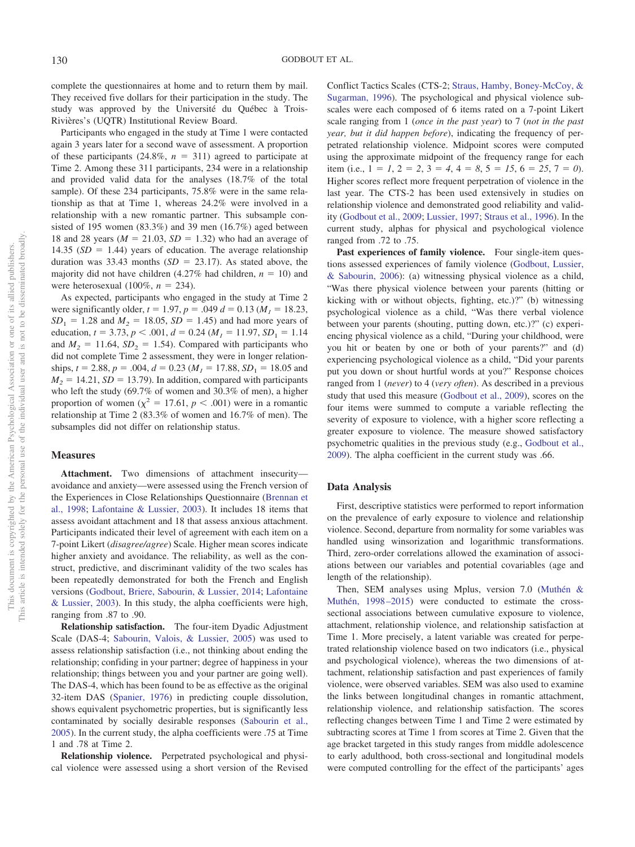complete the questionnaires at home and to return them by mail. They received five dollars for their participation in the study. The study was approved by the Université du Québec a` Trois-Rivières's (UQTR) Institutional Review Board.

Participants who engaged in the study at Time 1 were contacted again 3 years later for a second wave of assessment. A proportion of these participants  $(24.8\%, n = 311)$  agreed to participate at Time 2. Among these 311 participants, 234 were in a relationship and provided valid data for the analyses (18.7% of the total sample). Of these 234 participants, 75.8% were in the same relationship as that at Time 1, whereas 24.2% were involved in a relationship with a new romantic partner. This subsample consisted of 195 women (83.3%) and 39 men (16.7%) aged between 18 and 28 years ( $M = 21.03$ ,  $SD = 1.32$ ) who had an average of  $14.35$  ( $SD = 1.44$ ) years of education. The average relationship duration was 33.43 months  $(SD = 23.17)$ . As stated above, the majority did not have children  $(4.27\%$  had children,  $n = 10$ ) and were heterosexual  $(100\%, n = 234)$ .

As expected, participants who engaged in the study at Time 2 were significantly older,  $t = 1.97$ ,  $p = .049$   $d = 0.13$  ( $M<sub>1</sub> = 18.23$ ,  $SD_1 = 1.28$  and  $M_2 = 18.05$ ,  $SD = 1.45$ ) and had more years of education,  $t = 3.73$ ,  $p < .001$ ,  $d = 0.24$  ( $M<sub>1</sub> = 11.97$ ,  $SD<sub>1</sub> = 1.14$ and  $M_2 = 11.64$ ,  $SD_2 = 1.54$ ). Compared with participants who did not complete Time 2 assessment, they were in longer relationships,  $t = 2.88$ ,  $p = .004$ ,  $d = 0.23$  ( $M<sub>1</sub> = 17.88$ ,  $SD<sub>1</sub> = 18.05$  and  $M_2 = 14.21$ ,  $SD = 13.79$ ). In addition, compared with participants who left the study (69.7% of women and 30.3% of men), a higher proportion of women ( $\chi^2 = 17.61$ ,  $p < .001$ ) were in a romantic relationship at Time 2 (83.3% of women and 16.7% of men). The subsamples did not differ on relationship status.

# **Measures**

**Attachment.** Two dimensions of attachment insecurity avoidance and anxiety—were assessed using the French version of the Experiences in Close Relationships Questionnaire [\(Brennan et](#page-8-2) [al., 1998;](#page-8-2) [Lafontaine & Lussier, 2003\)](#page-9-20). It includes 18 items that assess avoidant attachment and 18 that assess anxious attachment. Participants indicated their level of agreement with each item on a 7-point Likert (*disagree/agree*) Scale. Higher mean scores indicate higher anxiety and avoidance. The reliability, as well as the construct, predictive, and discriminant validity of the two scales has been repeatedly demonstrated for both the French and English versions [\(Godbout, Briere, Sabourin, & Lussier, 2014;](#page-9-21) [Lafontaine](#page-9-20) [& Lussier, 2003\)](#page-9-20). In this study, the alpha coefficients were high, ranging from .87 to .90.

**Relationship satisfaction.** The four-item Dyadic Adjustment Scale (DAS-4; [Sabourin, Valois, & Lussier, 2005\)](#page-10-13) was used to assess relationship satisfaction (i.e., not thinking about ending the relationship; confiding in your partner; degree of happiness in your relationship; things between you and your partner are going well). The DAS-4, which has been found to be as effective as the original 32-item DAS [\(Spanier, 1976\)](#page-10-14) in predicting couple dissolution, shows equivalent psychometric properties, but is significantly less contaminated by socially desirable responses [\(Sabourin et al.,](#page-10-13) [2005\)](#page-10-13). In the current study, the alpha coefficients were .75 at Time 1 and .78 at Time 2.

**Relationship violence.** Perpetrated psychological and physical violence were assessed using a short version of the Revised Conflict Tactics Scales (CTS-2; [Straus, Hamby, Boney-McCoy, &](#page-10-15) [Sugarman, 1996\)](#page-10-15). The psychological and physical violence subscales were each composed of 6 items rated on a 7-point Likert scale ranging from 1 (*once in the past year*) to 7 (*not in the past year, but it did happen before*), indicating the frequency of perpetrated relationship violence. Midpoint scores were computed using the approximate midpoint of the frequency range for each item (i.e.,  $1 = 1, 2 = 2, 3 = 4, 4 = 8, 5 = 15, 6 = 25, 7 = 0$ ). Higher scores reflect more frequent perpetration of violence in the last year. The CTS-2 has been used extensively in studies on relationship violence and demonstrated good reliability and validity [\(Godbout et al., 2009;](#page-9-4) [Lussier, 1997;](#page-9-22) [Straus et al., 1996\)](#page-10-15). In the current study, alphas for physical and psychological violence ranged from .72 to .75.

Past experiences of family violence. Four single-item questions assessed experiences of family violence [\(Godbout, Lussier,](#page-9-23) [& Sabourin, 2006\)](#page-9-23): (a) witnessing physical violence as a child, "Was there physical violence between your parents (hitting or kicking with or without objects, fighting, etc.)?" (b) witnessing psychological violence as a child, "Was there verbal violence between your parents (shouting, putting down, etc.)?" (c) experiencing physical violence as a child, "During your childhood, were you hit or beaten by one or both of your parents?" and (d) experiencing psychological violence as a child, "Did your parents put you down or shout hurtful words at you?" Response choices ranged from 1 (*never*) to 4 (*very often*). As described in a previous study that used this measure [\(Godbout et al., 2009\)](#page-9-4), scores on the four items were summed to compute a variable reflecting the severity of exposure to violence, with a higher score reflecting a greater exposure to violence. The measure showed satisfactory psychometric qualities in the previous study (e.g., [Godbout et al.,](#page-9-4) [2009\)](#page-9-4). The alpha coefficient in the current study was .66.

## **Data Analysis**

First, descriptive statistics were performed to report information on the prevalence of early exposure to violence and relationship violence. Second, departure from normality for some variables was handled using winsorization and logarithmic transformations. Third, zero-order correlations allowed the examination of associations between our variables and potential covariables (age and length of the relationship).

Then, SEM analyses using Mplus, version 7.0 [\(Muthén &](#page-10-16) Muthén, 1998-2015) were conducted to estimate the crosssectional associations between cumulative exposure to violence, attachment, relationship violence, and relationship satisfaction at Time 1. More precisely, a latent variable was created for perpetrated relationship violence based on two indicators (i.e., physical and psychological violence), whereas the two dimensions of attachment, relationship satisfaction and past experiences of family violence, were observed variables. SEM was also used to examine the links between longitudinal changes in romantic attachment, relationship violence, and relationship satisfaction. The scores reflecting changes between Time 1 and Time 2 were estimated by subtracting scores at Time 1 from scores at Time 2. Given that the age bracket targeted in this study ranges from middle adolescence to early adulthood, both cross-sectional and longitudinal models were computed controlling for the effect of the participants' ages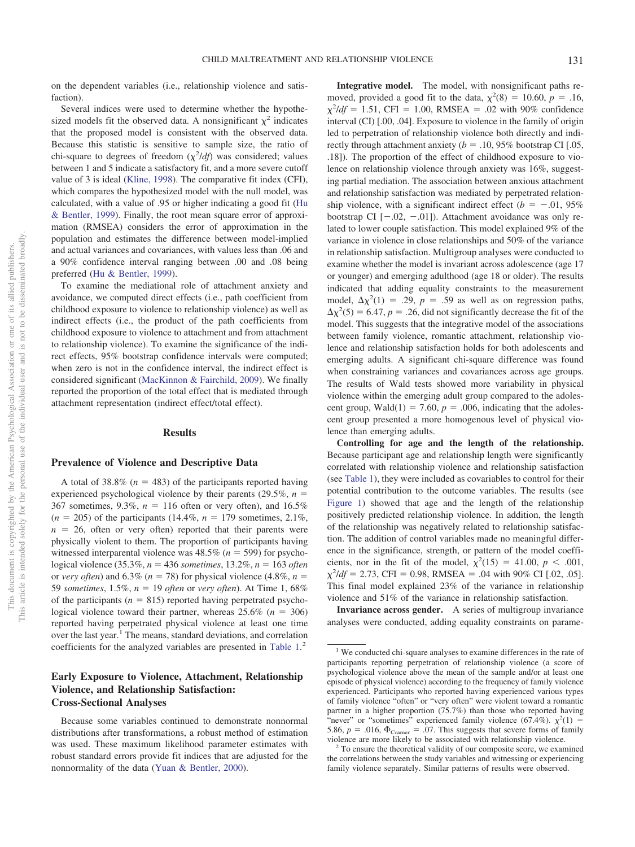on the dependent variables (i.e., relationship violence and satisfaction).

Several indices were used to determine whether the hypothesized models fit the observed data. A nonsignificant  $\chi^2$  indicates that the proposed model is consistent with the observed data. Because this statistic is sensitive to sample size, the ratio of chi-square to degrees of freedom  $(\chi^2/df)$  was considered; values between 1 and 5 indicate a satisfactory fit, and a more severe cutoff value of 3 is ideal [\(Kline, 1998\)](#page-9-24). The comparative fit index (CFI), which compares the hypothesized model with the null model, was calculated, with a value of .95 or higher indicating a good fit [\(Hu](#page-9-25) [& Bentler, 1999\)](#page-9-25). Finally, the root mean square error of approximation (RMSEA) considers the error of approximation in the population and estimates the difference between model-implied and actual variances and covariances, with values less than .06 and a 90% confidence interval ranging between .00 and .08 being preferred [\(Hu & Bentler, 1999\)](#page-9-25).

To examine the mediational role of attachment anxiety and avoidance, we computed direct effects (i.e., path coefficient from childhood exposure to violence to relationship violence) as well as indirect effects (i.e., the product of the path coefficients from childhood exposure to violence to attachment and from attachment to relationship violence). To examine the significance of the indirect effects, 95% bootstrap confidence intervals were computed; when zero is not in the confidence interval, the indirect effect is considered significant [\(MacKinnon & Fairchild, 2009\)](#page-9-26). We finally reported the proportion of the total effect that is mediated through attachment representation (indirect effect/total effect).

## **Results**

#### **Prevalence of Violence and Descriptive Data**

A total of  $38.8\%$  ( $n = 483$ ) of the participants reported having experienced psychological violence by their parents  $(29.5\%, n =$ 367 sometimes,  $9.3\%$ ,  $n = 116$  often or very often), and  $16.5\%$  $(n = 205)$  of the participants  $(14.4\%, n = 179)$  sometimes,  $2.1\%$ ,  $n = 26$ , often or very often) reported that their parents were physically violent to them. The proportion of participants having witnessed interparental violence was  $48.5\%$  ( $n = 599$ ) for psychological violence (35.3%, *n* - 436 *sometimes*, 13.2%, *n* - 163 *often* or *very often*) and 6.3% ( $n = 78$ ) for physical violence (4.8%,  $n =$ 59 *sometimes*, 1.5%, *n* - 19 *often* or *very often*). At Time 1, 68% of the participants ( $n = 815$ ) reported having perpetrated psychological violence toward their partner, whereas  $25.6\%$  ( $n = 306$ ) reported having perpetrated physical violence at least one time over the last year.<sup>1</sup> The means, standard deviations, and correlation coefficients for the analyzed variables are presented in [Table 1.](#page-5-0) 2

# **Early Exposure to Violence, Attachment, Relationship Violence, and Relationship Satisfaction: Cross-Sectional Analyses**

**Integrative model.** The model, with nonsignificant paths removed, provided a good fit to the data,  $\chi^2(8) = 10.60$ ,  $p = .16$ ,  $\chi^2$ /*df* = 1.51, CFI = 1.00, RMSEA = .02 with 90% confidence interval (CI) [.00, .04]. Exposure to violence in the family of origin led to perpetration of relationship violence both directly and indirectly through attachment anxiety ( $b = .10, 95\%$  bootstrap CI [.05, .18]). The proportion of the effect of childhood exposure to violence on relationship violence through anxiety was 16%, suggesting partial mediation. The association between anxious attachment and relationship satisfaction was mediated by perpetrated relationship violence, with a significant indirect effect  $(b = -.01, 95\%)$ bootstrap CI  $[-.02, -.01]$ ). Attachment avoidance was only related to lower couple satisfaction. This model explained 9% of the variance in violence in close relationships and 50% of the variance in relationship satisfaction. Multigroup analyses were conducted to examine whether the model is invariant across adolescence (age 17 or younger) and emerging adulthood (age 18 or older). The results indicated that adding equality constraints to the measurement model,  $\Delta \chi^2(1) = .29$ ,  $p = .59$  as well as on regression paths,  $\Delta \chi^2(5) = 6.47, p = .26$ , did not significantly decrease the fit of the model. This suggests that the integrative model of the associations between family violence, romantic attachment, relationship violence and relationship satisfaction holds for both adolescents and emerging adults. A significant chi-square difference was found when constraining variances and covariances across age groups. The results of Wald tests showed more variability in physical violence within the emerging adult group compared to the adolescent group, Wald(1) = 7.60,  $p = 0.006$ , indicating that the adolescent group presented a more homogenous level of physical violence than emerging adults.

**Controlling for age and the length of the relationship.** Because participant age and relationship length were significantly correlated with relationship violence and relationship satisfaction (see [Table 1\)](#page-5-0), they were included as covariables to control for their potential contribution to the outcome variables. The results (see [Figure 1\)](#page-5-1) showed that age and the length of the relationship positively predicted relationship violence. In addition, the length of the relationship was negatively related to relationship satisfaction. The addition of control variables made no meaningful difference in the significance, strength, or pattern of the model coefficients, nor in the fit of the model,  $\chi^2(15) = 41.00, p < .001$ ,  $\chi^2$ /*df* = 2.73, CFI = 0.98, RMSEA = .04 with 90% CI [.02, .05]. This final model explained 23% of the variance in relationship violence and 51% of the variance in relationship satisfaction.

**Invariance across gender.** A series of multigroup invariance analyses were conducted, adding equality constraints on parame-

Because some variables continued to demonstrate nonnormal distributions after transformations, a robust method of estimation was used. These maximum likelihood parameter estimates with robust standard errors provide fit indices that are adjusted for the nonnormality of the data [\(Yuan & Bentler, 2000\)](#page-10-17).

<sup>&</sup>lt;sup>1</sup> We conducted chi-square analyses to examine differences in the rate of participants reporting perpetration of relationship violence (a score of psychological violence above the mean of the sample and/or at least one episode of physical violence) according to the frequency of family violence experienced. Participants who reported having experienced various types of family violence "often" or "very often" were violent toward a romantic partner in a higher proportion (75.7%) than those who reported having "never" or "sometimes" experienced family violence (67.4%).  $\chi^2(1)$  = 5.86,  $p = .016$ ,  $\Phi_{Cramer} = .07$ . This suggests that severe forms of family

violence are more likely to be associated with relationship violence.<br><sup>2</sup> To ensure the theoretical validity of our composite score, we examined the correlations between the study variables and witnessing or experiencing family violence separately. Similar patterns of results were observed.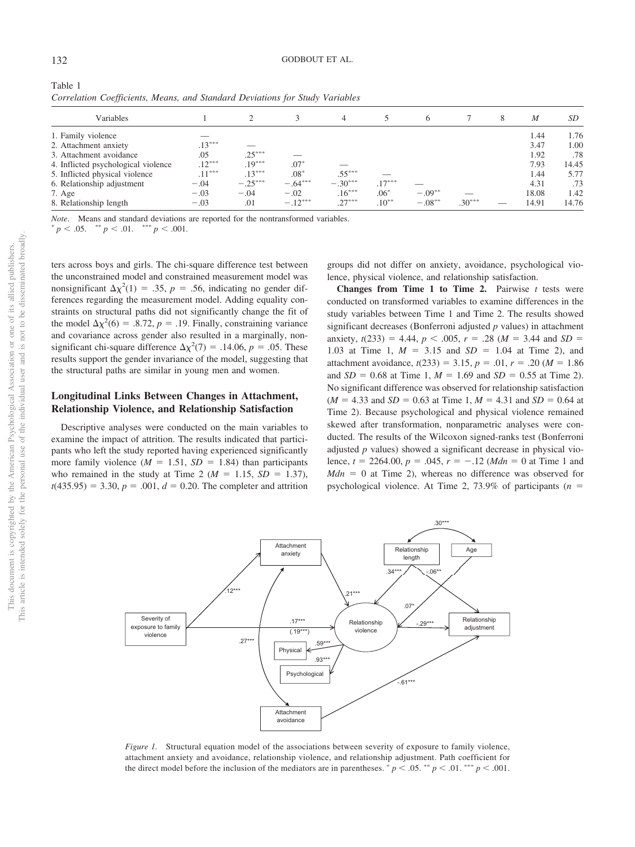| Variables                           |          |           |           | 4         |          | 6        |          |  | M     | SD.   |
|-------------------------------------|----------|-----------|-----------|-----------|----------|----------|----------|--|-------|-------|
| 1. Family violence                  |          |           |           |           |          |          |          |  | 1.44  | 1.76  |
| 2. Attachment anxiety               | $.13***$ |           |           |           |          |          |          |  | 3.47  | 1.00  |
| 3. Attachment avoidance             | .05      | $.25***$  |           |           |          |          |          |  | 1.92  | .78   |
| 4. Inflicted psychological violence | $.12***$ | $.19***$  | $.07*$    |           |          |          |          |  | 7.93  | 14.45 |
| 5. Inflicted physical violence      | $.11***$ | $.13***$  | $.08*$    | $.55***$  | __       |          |          |  | 1.44  | 5.77  |
| 6. Relationship adjustment          | $-.04$   | $-.25***$ | $-.64***$ | $-.30***$ | $.17***$ |          |          |  | 4.31  | .73   |
| $7. \text{Age}$                     | $-.03$   | $-.04$    | $-.02$    | $.16***$  | $.06*$   | $-.09**$ |          |  | 18.08 | 1.42  |
| 8. Relationship length              | $-.03$   | .01       | $-.12***$ | $.27***$  | $.10***$ | $-.08**$ | $.30***$ |  | 14.91 | 14.76 |

<span id="page-5-0"></span>Table 1 *Correlation Coefficients, Means, and Standard Deviations for Study Variables*

*Note.* Means and standard deviations are reported for the nontransformed variables.  $p < .05$ .  $p < .01.$  \*\*\*  $p < .001.$ 

ters across boys and girls. The chi-square difference test between the unconstrained model and constrained measurement model was nonsignificant  $\Delta \chi^2(1) = .35$ ,  $p = .56$ , indicating no gender differences regarding the measurement model. Adding equality constraints on structural paths did not significantly change the fit of the model  $\Delta \chi^2(6) = .8.72$ ,  $p = .19$ . Finally, constraining variance and covariance across gender also resulted in a marginally, nonsignificant chi-square difference  $\Delta \chi^2(7) = .14.06$ ,  $p = .05$ . These results support the gender invariance of the model, suggesting that the structural paths are similar in young men and women.

# **Longitudinal Links Between Changes in Attachment, Relationship Violence, and Relationship Satisfaction**

Descriptive analyses were conducted on the main variables to examine the impact of attrition. The results indicated that participants who left the study reported having experienced significantly more family violence  $(M = 1.51, SD = 1.84)$  than participants who remained in the study at Time 2 ( $M = 1.15$ ,  $SD = 1.37$ ),  $t(435.95) = 3.30, p = .001, d = 0.20$ . The completer and attrition groups did not differ on anxiety, avoidance, psychological violence, physical violence, and relationship satisfaction.

**Changes from Time 1 to Time 2.** Pairwise *t* tests were conducted on transformed variables to examine differences in the study variables between Time 1 and Time 2. The results showed significant decreases (Bonferroni adjusted *p* values) in attachment anxiety,  $t(233) = 4.44$ ,  $p < .005$ ,  $r = .28$  ( $M = 3.44$  and  $SD =$ 1.03 at Time 1,  $M = 3.15$  and  $SD = 1.04$  at Time 2), and attachment avoidance,  $t(233) = 3.15$ ,  $p = .01$ ,  $r = .20$  ( $M = 1.86$ ) and  $SD = 0.68$  at Time 1,  $M = 1.69$  and  $SD = 0.55$  at Time 2). No significant difference was observed for relationship satisfaction  $(M = 4.33$  and  $SD = 0.63$  at Time 1,  $M = 4.31$  and  $SD = 0.64$  at Time 2). Because psychological and physical violence remained skewed after transformation, nonparametric analyses were conducted. The results of the Wilcoxon signed-ranks test (Bonferroni adjusted *p* values) showed a significant decrease in physical violence,  $t = 2264.00$ ,  $p = .045$ ,  $r = -.12$  (*Mdn* = 0 at Time 1 and  $Mdn = 0$  at Time 2), whereas no difference was observed for psychological violence. At Time 2, 73.9% of participants  $(n =$ 



<span id="page-5-1"></span>*Figure 1.* Structural equation model of the associations between severity of exposure to family violence, attachment anxiety and avoidance, relationship violence, and relationship adjustment. Path coefficient for the direct model before the inclusion of the mediators are in parentheses.  $p < .05$ .  $^{*}p < .01$ .  $^{***}p < .001$ .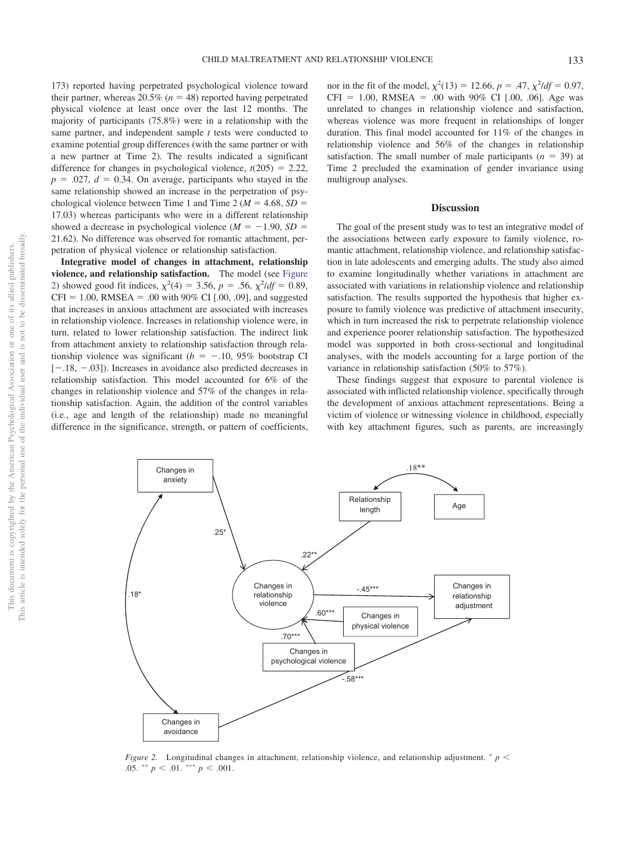173) reported having perpetrated psychological violence toward their partner, whereas  $20.5\%$  ( $n = 48$ ) reported having perpetrated physical violence at least once over the last 12 months. The majority of participants (75.8%) were in a relationship with the same partner, and independent sample *t* tests were conducted to examine potential group differences (with the same partner or with a new partner at Time 2). The results indicated a significant difference for changes in psychological violence,  $t(205) = 2.22$ ,  $p = .027$ ,  $d = 0.34$ . On average, participants who stayed in the same relationship showed an increase in the perpetration of psychological violence between Time 1 and Time 2 ( $M = 4.68$ ,  $SD =$ 17.03) whereas participants who were in a different relationship showed a decrease in psychological violence  $(M = -1.90, SD =$ 21.62). No difference was observed for romantic attachment, perpetration of physical violence or relationship satisfaction.

**Integrative model of changes in attachment, relationship violence, and relationship satisfaction.** The model (see [Figure](#page-6-0) [2\)](#page-6-0) showed good fit indices,  $\chi^2(4) = 3.56$ ,  $p = .56$ ,  $\chi^2/df = 0.89$ ,  $CFI = 1.00$ , RMSEA = .00 with 90% CI [.00, .09], and suggested that increases in anxious attachment are associated with increases in relationship violence. Increases in relationship violence were, in turn, related to lower relationship satisfaction. The indirect link from attachment anxiety to relationship satisfaction through relationship violence was significant  $(b = -.10, 95\%$  bootstrap CI  $[-.18, -0.03]$ ). Increases in avoidance also predicted decreases in relationship satisfaction. This model accounted for 6% of the changes in relationship violence and 57% of the changes in relationship satisfaction. Again, the addition of the control variables (i.e., age and length of the relationship) made no meaningful difference in the significance, strength, or pattern of coefficients,

nor in the fit of the model,  $\chi^2(13) = 12.66$ ,  $p = .47$ ,  $\chi^2/df = 0.97$ ,  $CFI = 1.00$ , RMSEA = .00 with 90% CI [.00, .06]. Age was unrelated to changes in relationship violence and satisfaction, whereas violence was more frequent in relationships of longer duration. This final model accounted for 11% of the changes in relationship violence and 56% of the changes in relationship satisfaction. The small number of male participants  $(n = 39)$  at Time 2 precluded the examination of gender invariance using multigroup analyses.

#### **Discussion**

The goal of the present study was to test an integrative model of the associations between early exposure to family violence, romantic attachment, relationship violence, and relationship satisfaction in late adolescents and emerging adults. The study also aimed to examine longitudinally whether variations in attachment are associated with variations in relationship violence and relationship satisfaction. The results supported the hypothesis that higher exposure to family violence was predictive of attachment insecurity, which in turn increased the risk to perpetrate relationship violence and experience poorer relationship satisfaction. The hypothesized model was supported in both cross-sectional and longitudinal analyses, with the models accounting for a large portion of the variance in relationship satisfaction (50% to 57%).

These findings suggest that exposure to parental violence is associated with inflicted relationship violence, specifically through the development of anxious attachment representations. Being a victim of violence or witnessing violence in childhood, especially with key attachment figures, such as parents, are increasingly

.25\*  $-45***$  $-58**$ Changes in anxiety Changes in avoidance Changes in relationship adjustment Changes in physical violence Changes in psychological violence .18\* .70\* .60\*\*\* .22 Changes in relationship violence Relationship<br>  $A$ ge Relationship<br>  $A$ ge length .18\*\*

<span id="page-6-0"></span>*Figure 2.* Longitudinal changes in attachment, relationship violence, and relationship adjustment.  $p <$ .05. \*\*  $p < .01$ . \*\*\*  $p < .001$ .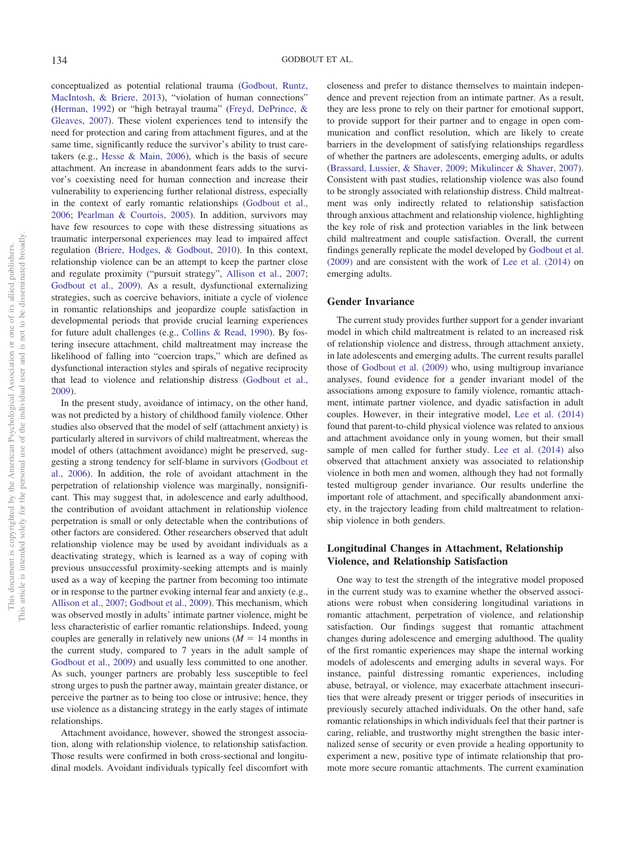conceptualized as potential relational trauma [\(Godbout, Runtz,](#page-9-27) [MacIntosh, & Briere, 2013\)](#page-9-27), "violation of human connections" [\(Herman, 1992\)](#page-9-28) or "high betrayal trauma" [\(Freyd, DePrince, &](#page-9-29) [Gleaves, 2007\)](#page-9-29). These violent experiences tend to intensify the need for protection and caring from attachment figures, and at the same time, significantly reduce the survivor's ability to trust caretakers (e.g., [Hesse & Main, 2006\)](#page-9-30), which is the basis of secure attachment. An increase in abandonment fears adds to the survivor's coexisting need for human connection and increase their vulnerability to experiencing further relational distress, especially in the context of early romantic relationships [\(Godbout et al.,](#page-9-23) [2006;](#page-9-23) [Pearlman & Courtois, 2005\)](#page-10-18). In addition, survivors may have few resources to cope with these distressing situations as traumatic interpersonal experiences may lead to impaired affect regulation [\(Briere, Hodges, & Godbout, 2010\)](#page-8-7). In this context, relationship violence can be an attempt to keep the partner close and regulate proximity ("pursuit strategy", [Allison et al., 2007;](#page-8-5) [Godbout et al., 2009\)](#page-9-4). As a result, dysfunctional externalizing strategies, such as coercive behaviors, initiate a cycle of violence in romantic relationships and jeopardize couple satisfaction in developmental periods that provide crucial learning experiences for future adult challenges (e.g., [Collins & Read, 1990\)](#page-8-3). By fostering insecure attachment, child maltreatment may increase the likelihood of falling into "coercion traps," which are defined as dysfunctional interaction styles and spirals of negative reciprocity that lead to violence and relationship distress [\(Godbout et al.,](#page-9-4) [2009\)](#page-9-4).

In the present study, avoidance of intimacy, on the other hand, was not predicted by a history of childhood family violence. Other studies also observed that the model of self (attachment anxiety) is particularly altered in survivors of child maltreatment, whereas the model of others (attachment avoidance) might be preserved, suggesting a strong tendency for self-blame in survivors [\(Godbout et](#page-9-23) [al., 2006\)](#page-9-23). In addition, the role of avoidant attachment in the perpetration of relationship violence was marginally, nonsignificant. This may suggest that, in adolescence and early adulthood, the contribution of avoidant attachment in relationship violence perpetration is small or only detectable when the contributions of other factors are considered. Other researchers observed that adult relationship violence may be used by avoidant individuals as a deactivating strategy, which is learned as a way of coping with previous unsuccessful proximity-seeking attempts and is mainly used as a way of keeping the partner from becoming too intimate or in response to the partner evoking internal fear and anxiety (e.g., [Allison et al., 2007;](#page-8-5) [Godbout et al., 2009\)](#page-9-4). This mechanism, which was observed mostly in adults' intimate partner violence, might be less characteristic of earlier romantic relationships. Indeed, young couples are generally in relatively new unions  $(M = 14$  months in the current study, compared to 7 years in the adult sample of [Godbout et al., 2009\)](#page-9-4) and usually less committed to one another. As such, younger partners are probably less susceptible to feel strong urges to push the partner away, maintain greater distance, or perceive the partner as to being too close or intrusive; hence, they use violence as a distancing strategy in the early stages of intimate relationships.

Attachment avoidance, however, showed the strongest association, along with relationship violence, to relationship satisfaction. Those results were confirmed in both cross-sectional and longitudinal models. Avoidant individuals typically feel discomfort with closeness and prefer to distance themselves to maintain independence and prevent rejection from an intimate partner. As a result, they are less prone to rely on their partner for emotional support, to provide support for their partner and to engage in open communication and conflict resolution, which are likely to create barriers in the development of satisfying relationships regardless of whether the partners are adolescents, emerging adults, or adults [\(Brassard, Lussier, & Shaver, 2009;](#page-8-8) [Mikulincer & Shaver, 2007\)](#page-9-31). Consistent with past studies, relationship violence was also found to be strongly associated with relationship distress. Child maltreatment was only indirectly related to relationship satisfaction through anxious attachment and relationship violence, highlighting the key role of risk and protection variables in the link between child maltreatment and couple satisfaction. Overall, the current findings generally replicate the model developed by [Godbout et al.](#page-9-4) [\(2009\)](#page-9-4) and are consistent with the work of [Lee et al. \(2014\)](#page-9-6) on emerging adults.

## **Gender Invariance**

The current study provides further support for a gender invariant model in which child maltreatment is related to an increased risk of relationship violence and distress, through attachment anxiety, in late adolescents and emerging adults. The current results parallel those of [Godbout et al. \(2009\)](#page-9-4) who, using multigroup invariance analyses, found evidence for a gender invariant model of the associations among exposure to family violence, romantic attachment, intimate partner violence, and dyadic satisfaction in adult couples. However, in their integrative model, [Lee et al. \(2014\)](#page-9-6) found that parent-to-child physical violence was related to anxious and attachment avoidance only in young women, but their small sample of men called for further study. [Lee et al. \(2014\)](#page-9-6) also observed that attachment anxiety was associated to relationship violence in both men and women, although they had not formally tested multigroup gender invariance. Our results underline the important role of attachment, and specifically abandonment anxiety, in the trajectory leading from child maltreatment to relationship violence in both genders.

# **Longitudinal Changes in Attachment, Relationship Violence, and Relationship Satisfaction**

One way to test the strength of the integrative model proposed in the current study was to examine whether the observed associations were robust when considering longitudinal variations in romantic attachment, perpetration of violence, and relationship satisfaction. Our findings suggest that romantic attachment changes during adolescence and emerging adulthood. The quality of the first romantic experiences may shape the internal working models of adolescents and emerging adults in several ways. For instance, painful distressing romantic experiences, including abuse, betrayal, or violence, may exacerbate attachment insecurities that were already present or trigger periods of insecurities in previously securely attached individuals. On the other hand, safe romantic relationships in which individuals feel that their partner is caring, reliable, and trustworthy might strengthen the basic internalized sense of security or even provide a healing opportunity to experiment a new, positive type of intimate relationship that promote more secure romantic attachments. The current examination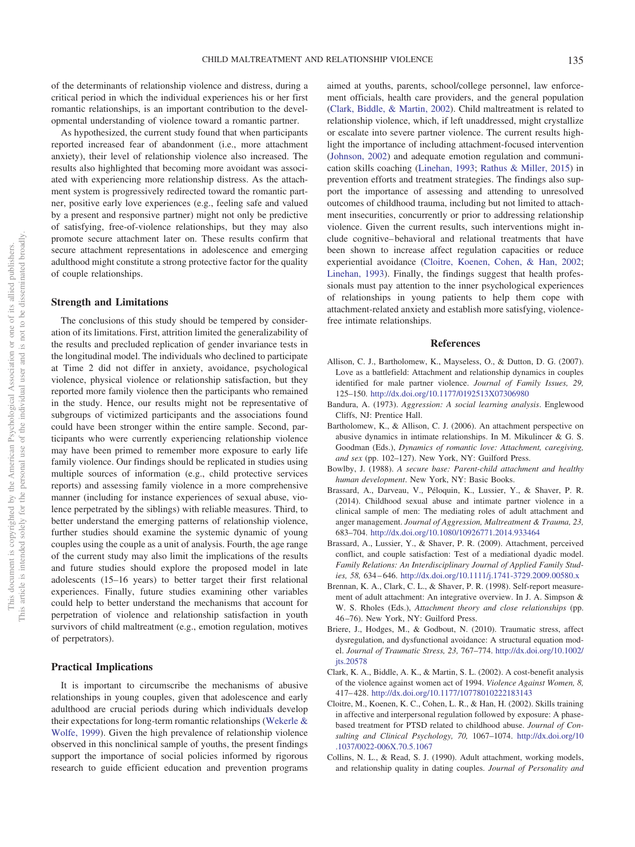of the determinants of relationship violence and distress, during a critical period in which the individual experiences his or her first romantic relationships, is an important contribution to the developmental understanding of violence toward a romantic partner.

As hypothesized, the current study found that when participants reported increased fear of abandonment (i.e., more attachment anxiety), their level of relationship violence also increased. The results also highlighted that becoming more avoidant was associated with experiencing more relationship distress. As the attachment system is progressively redirected toward the romantic partner, positive early love experiences (e.g., feeling safe and valued by a present and responsive partner) might not only be predictive of satisfying, free-of-violence relationships, but they may also promote secure attachment later on. These results confirm that secure attachment representations in adolescence and emerging adulthood might constitute a strong protective factor for the quality of couple relationships.

## **Strength and Limitations**

The conclusions of this study should be tempered by consideration of its limitations. First, attrition limited the generalizability of the results and precluded replication of gender invariance tests in the longitudinal model. The individuals who declined to participate at Time 2 did not differ in anxiety, avoidance, psychological violence, physical violence or relationship satisfaction, but they reported more family violence then the participants who remained in the study. Hence, our results might not be representative of subgroups of victimized participants and the associations found could have been stronger within the entire sample. Second, participants who were currently experiencing relationship violence may have been primed to remember more exposure to early life family violence. Our findings should be replicated in studies using multiple sources of information (e.g., child protective services reports) and assessing family violence in a more comprehensive manner (including for instance experiences of sexual abuse, violence perpetrated by the siblings) with reliable measures. Third, to better understand the emerging patterns of relationship violence, further studies should examine the systemic dynamic of young couples using the couple as a unit of analysis. Fourth, the age range of the current study may also limit the implications of the results and future studies should explore the proposed model in late adolescents (15–16 years) to better target their first relational experiences. Finally, future studies examining other variables could help to better understand the mechanisms that account for perpetration of violence and relationship satisfaction in youth survivors of child maltreatment (e.g., emotion regulation, motives of perpetrators).

## **Practical Implications**

It is important to circumscribe the mechanisms of abusive relationships in young couples, given that adolescence and early adulthood are crucial periods during which individuals develop their expectations for long-term romantic relationships [\(Wekerle &](#page-10-19) [Wolfe, 1999\)](#page-10-19). Given the high prevalence of relationship violence observed in this nonclinical sample of youths, the present findings support the importance of social policies informed by rigorous research to guide efficient education and prevention programs

aimed at youths, parents, school/college personnel, law enforcement officials, health care providers, and the general population [\(Clark, Biddle, & Martin, 2002\)](#page-8-9). Child maltreatment is related to relationship violence, which, if left unaddressed, might crystallize or escalate into severe partner violence. The current results highlight the importance of including attachment-focused intervention [\(Johnson, 2002\)](#page-9-32) and adequate emotion regulation and communication skills coaching [\(Linehan, 1993;](#page-9-33) [Rathus & Miller, 2015\)](#page-10-20) in prevention efforts and treatment strategies. The findings also support the importance of assessing and attending to unresolved outcomes of childhood trauma, including but not limited to attachment insecurities, concurrently or prior to addressing relationship violence. Given the current results, such interventions might include cognitive– behavioral and relational treatments that have been shown to increase affect regulation capacities or reduce experiential avoidance [\(Cloitre, Koenen, Cohen, & Han, 2002;](#page-8-10) [Linehan, 1993\)](#page-9-33). Finally, the findings suggest that health professionals must pay attention to the inner psychological experiences of relationships in young patients to help them cope with attachment-related anxiety and establish more satisfying, violencefree intimate relationships.

#### **References**

- <span id="page-8-5"></span>Allison, C. J., Bartholomew, K., Mayseless, O., & Dutton, D. G. (2007). Love as a battlefield: Attachment and relationship dynamics in couples identified for male partner violence. *Journal of Family Issues, 29,* 125–150. <http://dx.doi.org/10.1177/0192513X07306980>
- <span id="page-8-0"></span>Bandura, A. (1973). *Aggression: A social learning analysis*. Englewood Cliffs, NJ: Prentice Hall.
- <span id="page-8-4"></span>Bartholomew, K., & Allison, C. J. (2006). An attachment perspective on abusive dynamics in intimate relationships. In M. Mikulincer & G. S. Goodman (Eds.), *Dynamics of romantic love: Attachment, caregiving, and sex* (pp. 102–127). New York, NY: Guilford Press.
- <span id="page-8-1"></span>Bowlby, J. (1988). *A secure base: Parent-child attachment and healthy human development*. New York, NY: Basic Books.
- <span id="page-8-6"></span>Brassard, A., Darveau, V., Péloquin, K., Lussier, Y., & Shaver, P. R. (2014). Childhood sexual abuse and intimate partner violence in a clinical sample of men: The mediating roles of adult attachment and anger management. *Journal of Aggression, Maltreatment & Trauma, 23,* 683–704. <http://dx.doi.org/10.1080/10926771.2014.933464>
- <span id="page-8-8"></span>Brassard, A., Lussier, Y., & Shaver, P. R. (2009). Attachment, perceived conflict, and couple satisfaction: Test of a mediational dyadic model. *Family Relations: An Interdisciplinary Journal of Applied Family Studies, 58,* 634 – 646. <http://dx.doi.org/10.1111/j.1741-3729.2009.00580.x>
- <span id="page-8-2"></span>Brennan, K. A., Clark, C. L., & Shaver, P. R. (1998). Self-report measurement of adult attachment: An integrative overview. In J. A. Simpson & W. S. Rholes (Eds.), *Attachment theory and close relationships* (pp. 46 –76). New York, NY: Guilford Press.
- <span id="page-8-7"></span>Briere, J., Hodges, M., & Godbout, N. (2010). Traumatic stress, affect dysregulation, and dysfunctional avoidance: A structural equation model. *Journal of Traumatic Stress, 23,* 767–774. [http://dx.doi.org/10.1002/](http://dx.doi.org/10.1002/jts.20578) [jts.20578](http://dx.doi.org/10.1002/jts.20578)
- <span id="page-8-9"></span>Clark, K. A., Biddle, A. K., & Martin, S. L. (2002). A cost-benefit analysis of the violence against women act of 1994. *Violence Against Women, 8,* 417– 428. <http://dx.doi.org/10.1177/10778010222183143>
- <span id="page-8-10"></span>Cloitre, M., Koenen, K. C., Cohen, L. R., & Han, H. (2002). Skills training in affective and interpersonal regulation followed by exposure: A phasebased treatment for PTSD related to childhood abuse. *Journal of Consulting and Clinical Psychology, 70,* 1067–1074. [http://dx.doi.org/10](http://dx.doi.org/10.1037/0022-006X.70.5.1067) [.1037/0022-006X.70.5.1067](http://dx.doi.org/10.1037/0022-006X.70.5.1067)
- <span id="page-8-3"></span>Collins, N. L., & Read, S. J. (1990). Adult attachment, working models, and relationship quality in dating couples. *Journal of Personality and*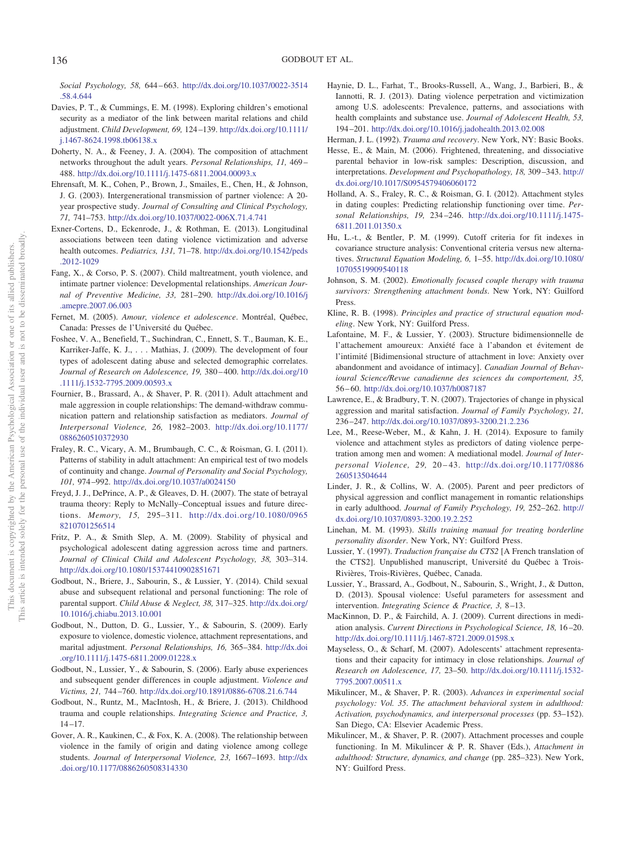*Social Psychology, 58,* 644 – 663. [http://dx.doi.org/10.1037/0022-3514](http://dx.doi.org/10.1037/0022-3514.58.4.644) [.58.4.644](http://dx.doi.org/10.1037/0022-3514.58.4.644)

- <span id="page-9-12"></span>Davies, P. T., & Cummings, E. M. (1998). Exploring children's emotional security as a mediator of the link between marital relations and child adjustment. *Child Development, 69,* 124 –139. [http://dx.doi.org/10.1111/](http://dx.doi.org/10.1111/j.1467-8624.1998.tb06138.x) [j.1467-8624.1998.tb06138.x](http://dx.doi.org/10.1111/j.1467-8624.1998.tb06138.x)
- <span id="page-9-13"></span>Doherty, N. A., & Feeney, J. A. (2004). The composition of attachment networks throughout the adult years. *Personal Relationships, 11,* 469 – 488. <http://dx.doi.org/10.1111/j.1475-6811.2004.00093.x>
- <span id="page-9-10"></span>Ehrensaft, M. K., Cohen, P., Brown, J., Smailes, E., Chen, H., & Johnson, J. G. (2003). Intergenerational transmission of partner violence: A 20 year prospective study. *Journal of Consulting and Clinical Psychology, 71,* 741–753. <http://dx.doi.org/10.1037/0022-006X.71.4.741>
- <span id="page-9-2"></span>Exner-Cortens, D., Eckenrode, J., & Rothman, E. (2013). Longitudinal associations between teen dating violence victimization and adverse health outcomes. *Pediatrics, 131,* 71–78. [http://dx.doi.org/10.1542/peds](http://dx.doi.org/10.1542/peds.2012-1029) [.2012-1029](http://dx.doi.org/10.1542/peds.2012-1029)
- <span id="page-9-7"></span>Fang, X., & Corso, P. S. (2007). Child maltreatment, youth violence, and intimate partner violence: Developmental relationships. *American Journal of Preventive Medicine, 33,* 281–290. [http://dx.doi.org/10.1016/j](http://dx.doi.org/10.1016/j.amepre.2007.06.003) [.amepre.2007.06.003](http://dx.doi.org/10.1016/j.amepre.2007.06.003)
- <span id="page-9-0"></span>Fernet, M. (2005). *Amour, violence et adolescence*. Montréal, Québec, Canada: Presses de l'Université du Québec.
- <span id="page-9-18"></span>Foshee, V. A., Benefield, T., Suchindran, C., Ennett, S. T., Bauman, K. E., Karriker-Jaffe, K. J.,... Mathias, J. (2009). The development of four types of adolescent dating abuse and selected demographic correlates. *Journal of Research on Adolescence, 19,* 380 – 400. [http://dx.doi.org/10](http://dx.doi.org/10.1111/j.1532-7795.2009.00593.x) [.1111/j.1532-7795.2009.00593.x](http://dx.doi.org/10.1111/j.1532-7795.2009.00593.x)
- <span id="page-9-14"></span>Fournier, B., Brassard, A., & Shaver, P. R. (2011). Adult attachment and male aggression in couple relationships: The demand-withdraw communication pattern and relationship satisfaction as mediators. *Journal of Interpersonal Violence, 26,* 1982–2003. [http://dx.doi.org/10.1177/](http://dx.doi.org/10.1177/0886260510372930) [0886260510372930](http://dx.doi.org/10.1177/0886260510372930)
- <span id="page-9-19"></span>Fraley, R. C., Vicary, A. M., Brumbaugh, C. C., & Roisman, G. I. (2011). Patterns of stability in adult attachment: An empirical test of two models of continuity and change. *Journal of Personality and Social Psychology, 101,* 974 –992. <http://dx.doi.org/10.1037/a0024150>
- <span id="page-9-29"></span>Freyd, J. J., DePrince, A. P., & Gleaves, D. H. (2007). The state of betrayal trauma theory: Reply to McNally–Conceptual issues and future directions. *Memory, 15,* 295–311. [http://dx.doi.org/10.1080/0965](http://dx.doi.org/10.1080/09658210701256514) [8210701256514](http://dx.doi.org/10.1080/09658210701256514)
- <span id="page-9-17"></span>Fritz, P. A., & Smith Slep, A. M. (2009). Stability of physical and psychological adolescent dating aggression across time and partners. *Journal of Clinical Child and Adolescent Psychology, 38,* 303–314. <http://dx.doi.org/10.1080/15374410902851671>
- <span id="page-9-21"></span>Godbout, N., Briere, J., Sabourin, S., & Lussier, Y. (2014). Child sexual abuse and subsequent relational and personal functioning: The role of parental support. *Child Abuse & Neglect, 38,* 317–325. [http://dx.doi.org/](http://dx.doi.org/10.1016/j.chiabu.2013.10.001) [10.1016/j.chiabu.2013.10.001](http://dx.doi.org/10.1016/j.chiabu.2013.10.001)
- <span id="page-9-4"></span>Godbout, N., Dutton, D. G., Lussier, Y., & Sabourin, S. (2009). Early exposure to violence, domestic violence, attachment representations, and marital adjustment. *Personal Relationships, 16,* 365–384. [http://dx.doi](http://dx.doi.org/10.1111/j.1475-6811.2009.01228.x) [.org/10.1111/j.1475-6811.2009.01228.x](http://dx.doi.org/10.1111/j.1475-6811.2009.01228.x)
- <span id="page-9-23"></span>Godbout, N., Lussier, Y., & Sabourin, S. (2006). Early abuse experiences and subsequent gender differences in couple adjustment. *Violence and Victims, 21,* 744 –760. <http://dx.doi.org/10.1891/0886-6708.21.6.744>
- <span id="page-9-27"></span>Godbout, N., Runtz, M., MacIntosh, H., & Briere, J. (2013). Childhood trauma and couple relationships. *Integrating Science and Practice, 3,*  $14 - 17$ .
- <span id="page-9-8"></span>Gover, A. R., Kaukinen, C., & Fox, K. A. (2008). The relationship between violence in the family of origin and dating violence among college students. *Journal of Interpersonal Violence, 23,* 1667–1693. [http://dx](http://dx.doi.org/10.1177/0886260508314330) [.doi.org/10.1177/0886260508314330](http://dx.doi.org/10.1177/0886260508314330)
- <span id="page-9-1"></span>Haynie, D. L., Farhat, T., Brooks-Russell, A., Wang, J., Barbieri, B., & Iannotti, R. J. (2013). Dating violence perpetration and victimization among U.S. adolescents: Prevalence, patterns, and associations with health complaints and substance use. *Journal of Adolescent Health, 53,* 194 –201. <http://dx.doi.org/10.1016/j.jadohealth.2013.02.008>
- <span id="page-9-28"></span>Herman, J. L. (1992). *Trauma and recovery*. New York, NY: Basic Books.
- <span id="page-9-30"></span>Hesse, E., & Main, M. (2006). Frightened, threatening, and dissociative parental behavior in low-risk samples: Description, discussion, and interpretations. *Development and Psychopathology, 18,* 309 –343. [http://](http://dx.doi.org/10.1017/S0954579406060172) [dx.doi.org/10.1017/S0954579406060172](http://dx.doi.org/10.1017/S0954579406060172)
- <span id="page-9-15"></span>Holland, A. S., Fraley, R. C., & Roisman, G. I. (2012). Attachment styles in dating couples: Predicting relationship functioning over time. *Personal Relationships, 19,* 234 –246. [http://dx.doi.org/10.1111/j.1475-](http://dx.doi.org/10.1111/j.1475-6811.2011.01350.x) [6811.2011.01350.x](http://dx.doi.org/10.1111/j.1475-6811.2011.01350.x)
- <span id="page-9-25"></span>Hu, L.-t., & Bentler, P. M. (1999). Cutoff criteria for fit indexes in covariance structure analysis: Conventional criteria versus new alternatives. *Structural Equation Modeling, 6,* 1–55. [http://dx.doi.org/10.1080/](http://dx.doi.org/10.1080/10705519909540118) [10705519909540118](http://dx.doi.org/10.1080/10705519909540118)
- <span id="page-9-32"></span>Johnson, S. M. (2002). *Emotionally focused couple therapy with trauma survivors: Strengthening attachment bonds*. New York, NY: Guilford Press.
- <span id="page-9-24"></span>Kline, R. B. (1998). *Principles and practice of structural equation modeling*. New York, NY: Guilford Press.
- <span id="page-9-20"></span>Lafontaine, M. F., & Lussier, Y. (2003). Structure bidimensionnelle de l'attachement amoureux: Anxiété face a` l'abandon et évitement de l'intimité [Bidimensional structure of attachment in love: Anxiety over abandonment and avoidance of intimacy]. *Canadian Journal of Behavioural Science/Revue canadienne des sciences du comportement, 35,* 56 – 60. <http://dx.doi.org/10.1037/h0087187>
- <span id="page-9-16"></span>Lawrence, E., & Bradbury, T. N. (2007). Trajectories of change in physical aggression and marital satisfaction. *Journal of Family Psychology, 21,* 236 –247. <http://dx.doi.org/10.1037/0893-3200.21.2.236>
- <span id="page-9-6"></span>Lee, M., Reese-Weber, M., & Kahn, J. H. (2014). Exposure to family violence and attachment styles as predictors of dating violence perpetration among men and women: A mediational model. *Journal of Interpersonal Violence, 29,* 20 – 43. [http://dx.doi.org/10.1177/0886](http://dx.doi.org/10.1177/0886260513504644) [260513504644](http://dx.doi.org/10.1177/0886260513504644)
- <span id="page-9-9"></span>Linder, J. R., & Collins, W. A. (2005). Parent and peer predictors of physical aggression and conflict management in romantic relationships in early adulthood. *Journal of Family Psychology, 19,* 252–262. [http://](http://dx.doi.org/10.1037/0893-3200.19.2.252) [dx.doi.org/10.1037/0893-3200.19.2.252](http://dx.doi.org/10.1037/0893-3200.19.2.252)
- <span id="page-9-33"></span>Linehan, M. M. (1993). *Skills training manual for treating borderline personality disorder*. New York, NY: Guilford Press.
- <span id="page-9-22"></span>Lussier, Y. (1997). *Traduction française du CTS2* [A French translation of the CTS2]. Unpublished manuscript, Université du Québec a` Trois-Rivières, Trois-Rivières, Québec, Canada.
- <span id="page-9-3"></span>Lussier, Y., Brassard, A., Godbout, N., Sabourin, S., Wright, J., & Dutton, D. (2013). Spousal violence: Useful parameters for assessment and intervention. *Integrating Science & Practice, 3,* 8 –13.
- <span id="page-9-26"></span>MacKinnon, D. P., & Fairchild, A. J. (2009). Current directions in mediation analysis. *Current Directions in Psychological Science, 18,* 16 –20. <http://dx.doi.org/10.1111/j.1467-8721.2009.01598.x>
- <span id="page-9-5"></span>Mayseless, O., & Scharf, M. (2007). Adolescents' attachment representations and their capacity for intimacy in close relationships. *Journal of Research on Adolescence, 17,* 23–50. [http://dx.doi.org/10.1111/j.1532-](http://dx.doi.org/10.1111/j.1532-7795.2007.00511.x) [7795.2007.00511.x](http://dx.doi.org/10.1111/j.1532-7795.2007.00511.x)
- <span id="page-9-11"></span>Mikulincer, M., & Shaver, P. R. (2003). *Advances in experimental social psychology: Vol. 35*. *The attachment behavioral system in adulthood: Activation, psychodynamics, and interpersonal processes* (pp. 53–152). San Diego, CA: Elsevier Academic Press.
- <span id="page-9-31"></span>Mikulincer, M., & Shaver, P. R. (2007). Attachment processes and couple functioning. In M. Mikulincer & P. R. Shaver (Eds.), *Attachment in adulthood: Structure, dynamics, and change* (pp. 285–323). New York, NY: Guilford Press.